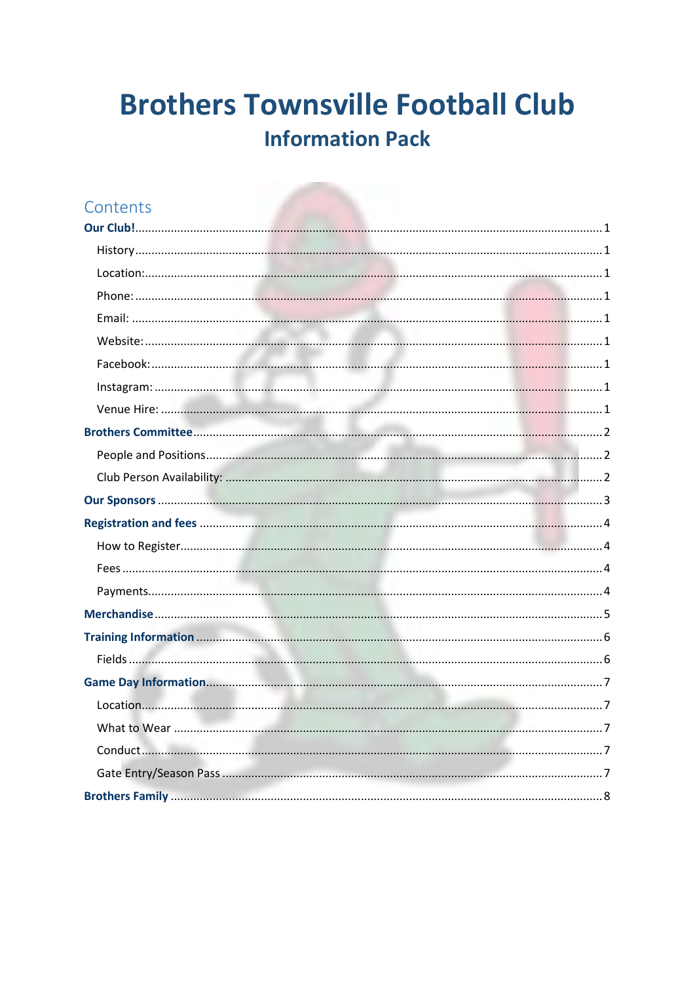### Contents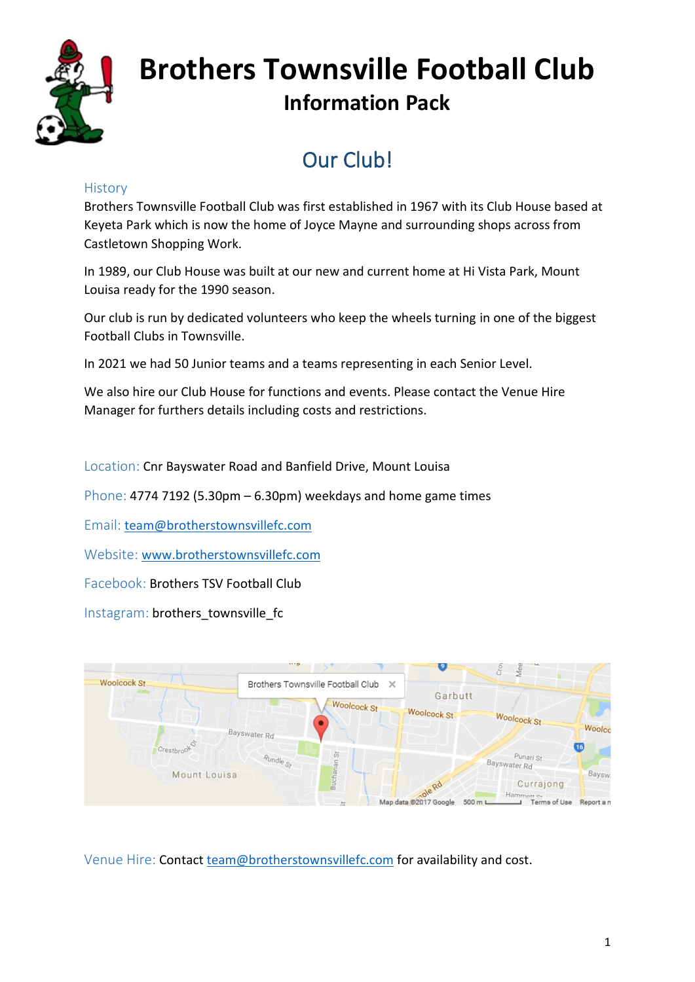

### Our Club!

#### <span id="page-1-1"></span><span id="page-1-0"></span>**History**

Brothers Townsville Football Club was first established in 1967 with its Club House based at Keyeta Park which is now the home of Joyce Mayne and surrounding shops across from Castletown Shopping Work.

In 1989, our Club House was built at our new and current home at Hi Vista Park, Mount Louisa ready for the 1990 season.

Our club is run by dedicated volunteers who keep the wheels turning in one of the biggest Football Clubs in Townsville.

In 2021 we had 50 Junior teams and a teams representing in each Senior Level.

We also hire our Club House for functions and events. Please contact the Venue Hire Manager for furthers details including costs and restrictions.

<span id="page-1-2"></span>Location: Cnr Bayswater Road and Banfield Drive, Mount Louisa

<span id="page-1-3"></span>Phone: 4774 7192 (5.30pm – 6.30pm) weekdays and home game times

<span id="page-1-4"></span>Email: [team@brotherstownsvillefc.com](mailto:team@brotherstownsvillefc.com)

<span id="page-1-5"></span>Website: [www.brotherstownsvillefc.com](http://www.brotherstownsvillefc.com/)

<span id="page-1-6"></span>Facebook: Brothers TSV Football Club

<span id="page-1-7"></span>Instagram: brothers\_townsville\_fc



<span id="page-1-8"></span>Venue Hire: Contact [team@brotherstownsvillefc.com](mailto:team@brotherstownsvillefc.com) for availability and cost.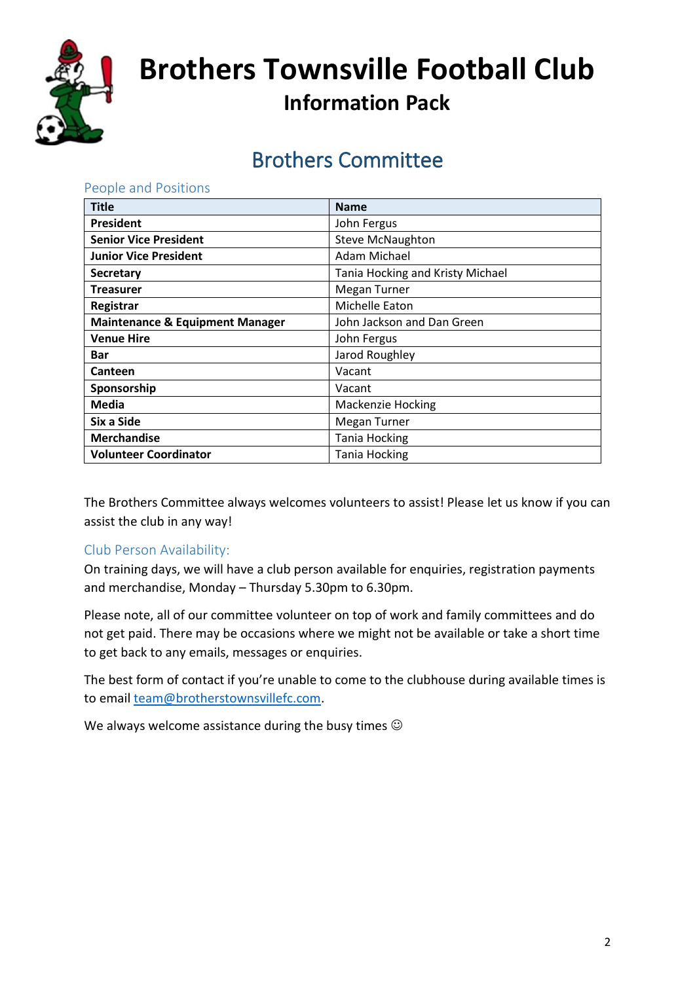

### Brothers Committee

| <b>Title</b>                               | <b>Name</b>                      |
|--------------------------------------------|----------------------------------|
| President                                  | John Fergus                      |
| <b>Senior Vice President</b>               | Steve McNaughton                 |
| <b>Junior Vice President</b>               | <b>Adam Michael</b>              |
| <b>Secretary</b>                           | Tania Hocking and Kristy Michael |
| <b>Treasurer</b>                           | Megan Turner                     |
| Registrar                                  | Michelle Eaton                   |
| <b>Maintenance &amp; Equipment Manager</b> | John Jackson and Dan Green       |
| <b>Venue Hire</b>                          | John Fergus                      |
| Bar                                        | Jarod Roughley                   |
| Canteen                                    | Vacant                           |
| Sponsorship                                | Vacant                           |
| <b>Media</b>                               | <b>Mackenzie Hocking</b>         |
| Six a Side                                 | Megan Turner                     |
| <b>Merchandise</b>                         | <b>Tania Hocking</b>             |
| <b>Volunteer Coordinator</b>               | <b>Tania Hocking</b>             |

The Brothers Committee always welcomes volunteers to assist! Please let us know if you can assist the club in any way!

#### <span id="page-2-2"></span>Club Person Availability:

<span id="page-2-1"></span><span id="page-2-0"></span>People and Positions

On training days, we will have a club person available for enquiries, registration payments and merchandise, Monday – Thursday 5.30pm to 6.30pm.

Please note, all of our committee volunteer on top of work and family committees and do not get paid. There may be occasions where we might not be available or take a short time to get back to any emails, messages or enquiries.

The best form of contact if you're unable to come to the clubhouse during available times is to email [team@brotherstownsvillefc.com.](mailto:team@brotherstownsvillefc.com)

We always welcome assistance during the busy times  $\odot$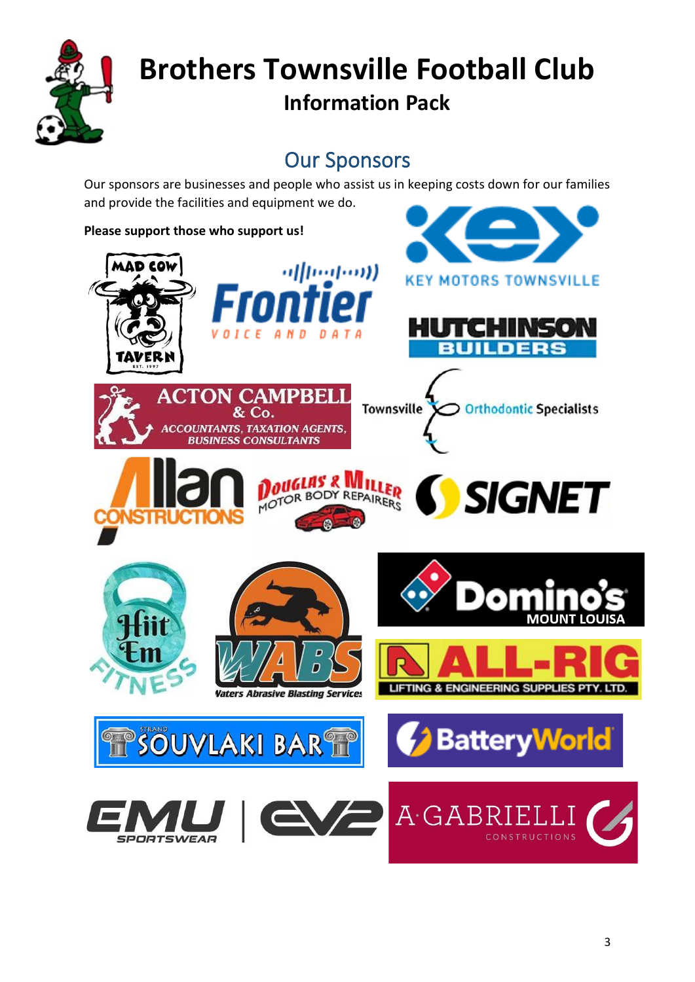

### Our Sponsors

<span id="page-3-0"></span>Our sponsors are businesses and people who assist us in keeping costs down for our families and provide the facilities and equipment we do.

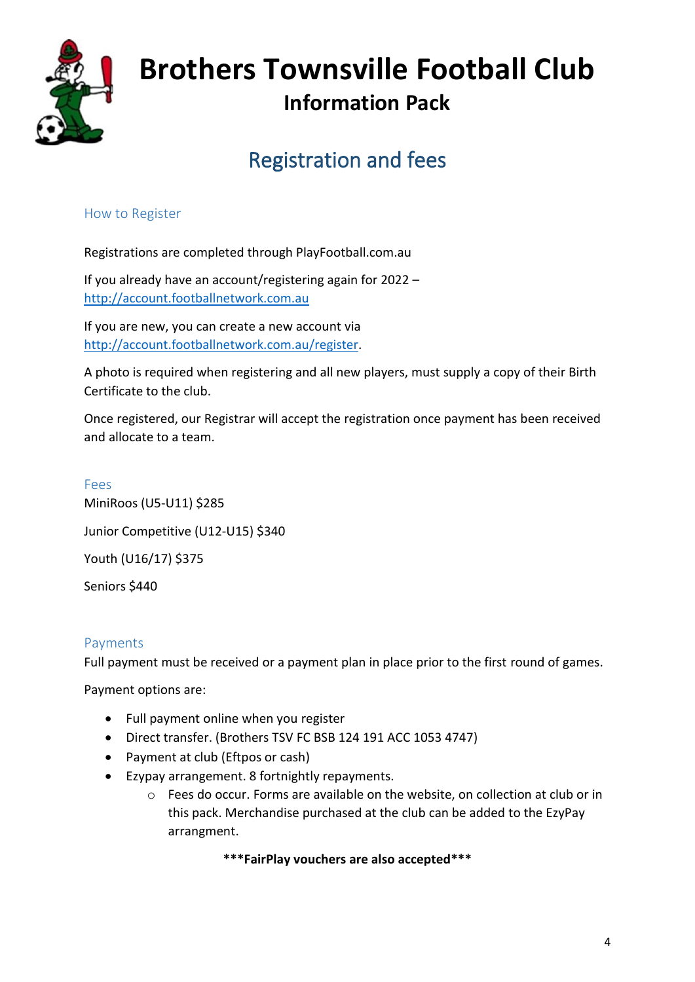

### Registration and fees

#### <span id="page-4-1"></span><span id="page-4-0"></span>How to Register

Registrations are completed through PlayFootball.com.au

If you already have an account/registering again for 2022 – [http://account.footballnetwork.com.au](http://account.footballnetwork.com.au/)

If you are new, you can create a new account via [http://account.footballnetwork.com.au/register.](http://account.footballnetwork.com.au/register)

A photo is required when registering and all new players, must supply a copy of their Birth Certificate to the club.

Once registered, our Registrar will accept the registration once payment has been received and allocate to a team.

<span id="page-4-2"></span>Fees MiniRoos (U5-U11) \$285 Junior Competitive (U12-U15) \$340 Youth (U16/17) \$375 Seniors \$440

#### <span id="page-4-3"></span>Payments

Full payment must be received or a payment plan in place prior to the first round of games.

Payment options are:

- Full payment online when you register
- Direct transfer. (Brothers TSV FC BSB 124 191 ACC 1053 4747)
- Payment at club (Eftpos or cash)
- Ezypay arrangement. 8 fortnightly repayments.
	- o Fees do occur. Forms are available on the website, on collection at club or in this pack. Merchandise purchased at the club can be added to the EzyPay arrangment.

#### **\*\*\*FairPlay vouchers are also accepted\*\*\***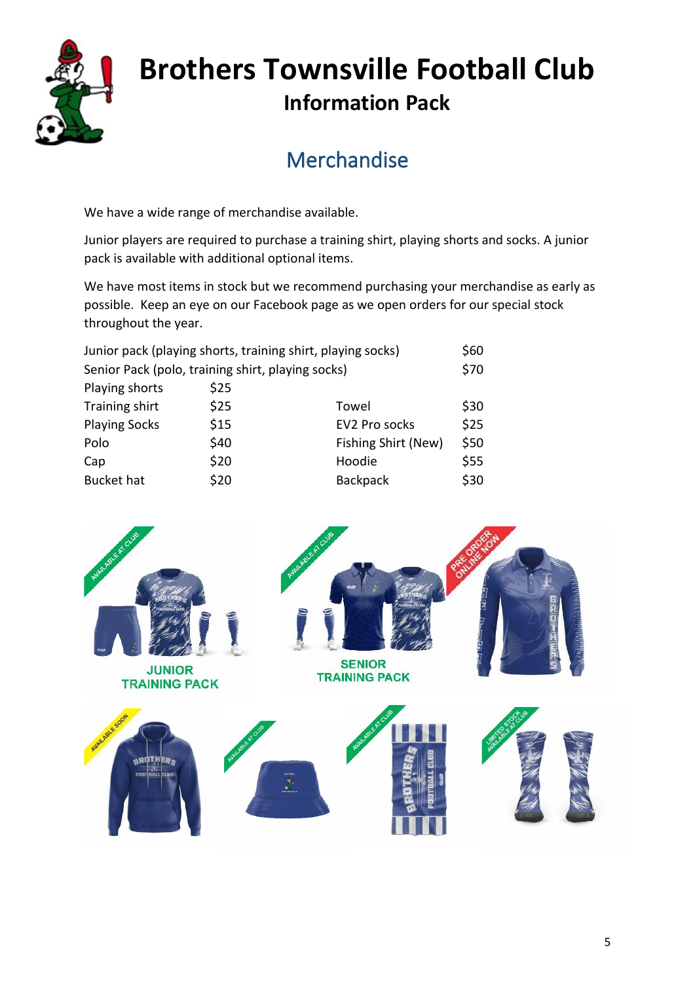

### **Merchandise**

<span id="page-5-0"></span>We have a wide range of merchandise available.

Junior players are required to purchase a training shirt, playing shorts and socks. A junior pack is available with additional optional items.

We have most items in stock but we recommend purchasing your merchandise as early as possible. Keep an eye on our Facebook page as we open orders for our special stock throughout the year.

|                                                   |                     | \$60                                                        |
|---------------------------------------------------|---------------------|-------------------------------------------------------------|
| Senior Pack (polo, training shirt, playing socks) |                     |                                                             |
| \$25                                              |                     |                                                             |
| \$25                                              | Towel               | \$30                                                        |
| \$15                                              | EV2 Pro socks       | \$25                                                        |
| \$40                                              | Fishing Shirt (New) | \$50                                                        |
| \$20                                              | Hoodie              | \$55                                                        |
| \$20                                              | <b>Backpack</b>     | \$30                                                        |
|                                                   |                     | Junior pack (playing shorts, training shirt, playing socks) |

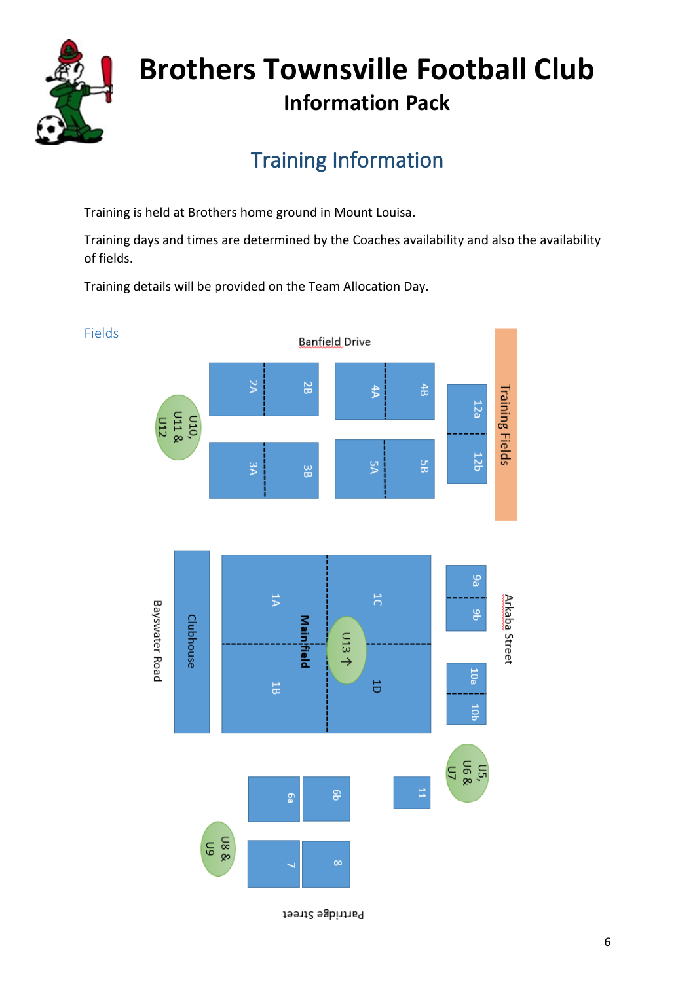![](_page_6_Picture_0.jpeg)

<span id="page-6-1"></span>Fields

## **Brothers Townsville Football Club Information Pack**

### Training Information

<span id="page-6-0"></span>Training is held at Brothers home ground in Mount Louisa.

Training days and times are determined by the Coaches availability and also the availability of fields.

Training details will be provided on the Team Allocation Day.

![](_page_6_Figure_6.jpeg)

Partridge Street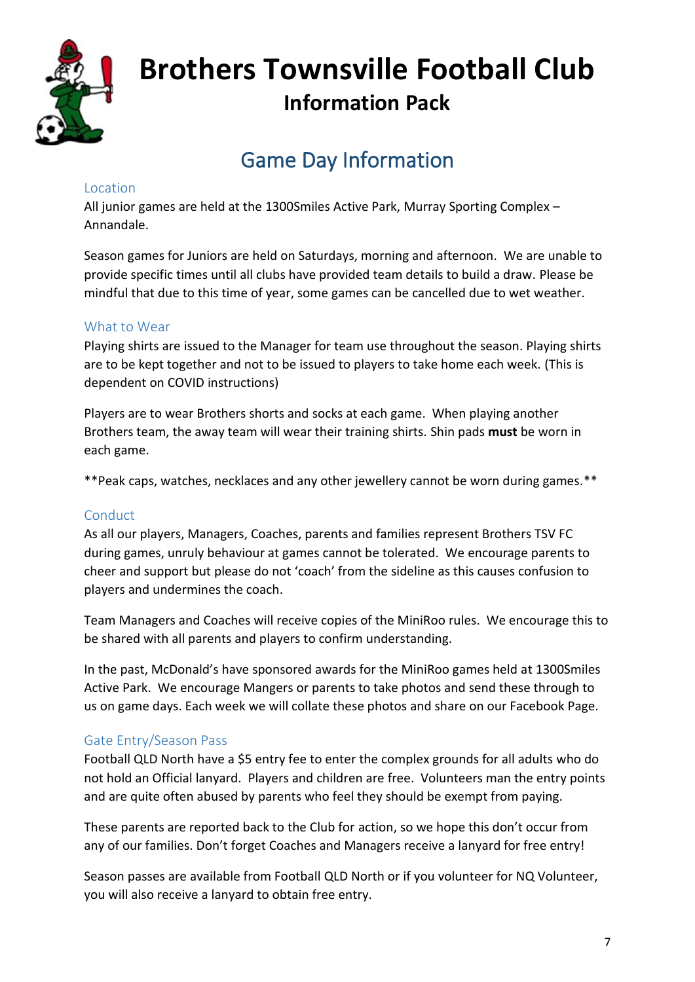![](_page_7_Picture_0.jpeg)

### Game Day Information

#### <span id="page-7-1"></span><span id="page-7-0"></span>Location

All junior games are held at the 1300Smiles Active Park, Murray Sporting Complex – Annandale.

Season games for Juniors are held on Saturdays, morning and afternoon. We are unable to provide specific times until all clubs have provided team details to build a draw. Please be mindful that due to this time of year, some games can be cancelled due to wet weather.

#### <span id="page-7-2"></span>What to Wear

Playing shirts are issued to the Manager for team use throughout the season. Playing shirts are to be kept together and not to be issued to players to take home each week. (This is dependent on COVID instructions)

Players are to wear Brothers shorts and socks at each game. When playing another Brothers team, the away team will wear their training shirts. Shin pads **must** be worn in each game.

\*\*Peak caps, watches, necklaces and any other jewellery cannot be worn during games.\*\*

#### <span id="page-7-3"></span>Conduct

As all our players, Managers, Coaches, parents and families represent Brothers TSV FC during games, unruly behaviour at games cannot be tolerated. We encourage parents to cheer and support but please do not 'coach' from the sideline as this causes confusion to players and undermines the coach.

Team Managers and Coaches will receive copies of the MiniRoo rules. We encourage this to be shared with all parents and players to confirm understanding.

In the past, McDonald's have sponsored awards for the MiniRoo games held at 1300Smiles Active Park. We encourage Mangers or parents to take photos and send these through to us on game days. Each week we will collate these photos and share on our Facebook Page.

#### <span id="page-7-4"></span>Gate Entry/Season Pass

Football QLD North have a \$5 entry fee to enter the complex grounds for all adults who do not hold an Official lanyard. Players and children are free. Volunteers man the entry points and are quite often abused by parents who feel they should be exempt from paying.

These parents are reported back to the Club for action, so we hope this don't occur from any of our families. Don't forget Coaches and Managers receive a lanyard for free entry!

Season passes are available from Football QLD North or if you volunteer for NQ Volunteer, you will also receive a lanyard to obtain free entry.